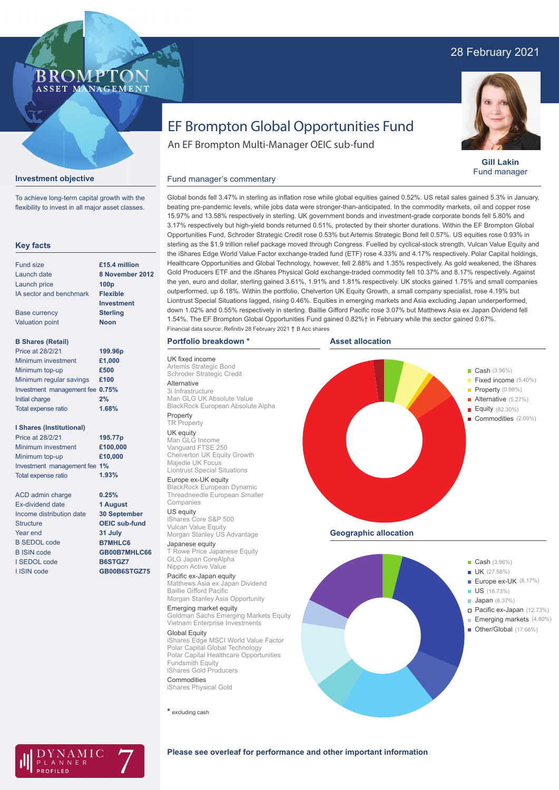# 28 February 2021



**Gill Lakin** Fund manager

## **Investment objective**

To achieve long-term capital growth with the flexibility to invest in all major asset classes.

#### **Key facts**

| Fund size                       | £15.4 million   |
|---------------------------------|-----------------|
| Launch date                     | 8 November 2012 |
| Launch price                    | 100p            |
| IA sector and benchmark         | <b>Flexible</b> |
|                                 | Investment      |
| <b>Base currency</b>            | <b>Sterling</b> |
| <b>Valuation point</b>          | <b>Noon</b>     |
| <b>B Shares (Retail)</b>        |                 |
| Price at 28/2/21                | 199.96p         |
| Minimum investment              | £1.000          |
| Minimum top-up                  | £500            |
| Minimum regular savings         | £100            |
| Investment management fee 0.75% |                 |
| Initial charge                  | 2%              |
| Total expense ratio             | 1.68%           |

#### **I Shares (Institutional)**

Minimum investment Minimum top-up Investment management fee **1%** Total expense ratio **£100,000 £10,000 195.77p** Price at 28/2/21 **1.93%**

ACD admin charge Ex-dividend date Income distribution date **Structure** Year end B SEDOL code B ISIN code I SEDOL code I ISIN code **0.25% 1 August 30 September OEIC sub-fund 31 July B7MHLC6 GB00B7MHLC66 B6STGZ7 GB00B6STGZ75**

# EF Brompton Global Opportunities Fund

An EF Brompton Multi-Manager OEIC sub-fund

#### Fund manager's commentary

Global bonds fell 3.47% in sterling as inflation rose while global equities gained 0.52%. US retail sales gained 5.3% in January, beating pre-pandemic levels, while jobs data were stronger-than-anticipated. In the commodity markets, oil and copper rose 15.97% and 13.58% respectively in sterling. UK government bonds and investment-grade corporate bonds fell 5.80% and 3.17% respectively but high-yield bonds returned 0.51%, protected by their shorter durations. Within the EF Brompton Global Opportunities Fund, Schroder Strategic Credit rose 0.53% but Artemis Strategic Bond fell 0.57%. US equities rose 0.93% in sterling as the \$1.9 trillion relief package moved through Congress. Fuelled by cyclical-stock strength, Vulcan Value Equity and the iShares Edge World Value Factor exchange-traded fund (ETF) rose 4.33% and 4.17% respectively. Polar Capital holdings, Healthcare Opportunities and Global Technology, however, fell 2.88% and 1.35% respectively. As gold weakened, the iShares Gold Producers ETF and the iShares Physical Gold exchange-traded commodity fell 10.37% and 8.17% respectively. Against the yen, euro and dollar, sterling gained 3.61%, 1.91% and 1.81% respectively. UK stocks gained 1.75% and small companies outperformed, up 6.18%. Within the portfolio, Chelverton UK Equity Growth, a small company specialist, rose 4.19% but Liontrust Special Situations lagged, rising 0.46%. Equities in emerging markets and Asia excluding Japan underperformed, down 1.02% and 0.55% respectively in sterling. Baillie Gifford Pacific rose 3.07% but Matthews Asia ex Japan Dividend fell 1.54%. The EF Brompton Global Opportunities Fund gained 0.82%† in February while the sector gained 0.67%. Financial data source: Refinitiv 28 February 2021 † B Acc shares

#### **Portfolio breakdown \***

UK fixed income Artemis Strategic Bond Schroder Strategic Credit Alternative 3i Infrastructure Man GLG UK Absolute Value BlackRock European Absolute Alpha Property

#### TR Property

UK equity Man GLG Income Vanguard FTSE 250 Chelverton UK Equity Growth Majedie UK Focus Liontrust Special Situations

#### Europe ex-UK equity

BlackRock European Dynamic Threadneedle European Smaller Companies

#### US equity iShares Core S&P 500

Vulcan Value Equity Morgan Stanley US Advantage Japanese equity T Rowe Price Japanese Equity GLG Japan CoreAlpha

#### Nippon Active Value Pacific ex-Japan equity

Matthews Asia ex Japan Dividend Baillie Gifford Pacific Morgan Stanley Asia Opportunity

#### Emerging market equity Goldman Sachs Emerging Markets Equity Vietnam Enterprise Investments

Global Equity iShares Edge MSCI World Value Factor Polar Capital Global Technology Polar Capital Healthcare Opportunities Fundsmith Equity iShares Gold Producers

Commodities iShares Physical Gold

**\*** excluding cash







#### **Please see overleaf for performance and other important information**